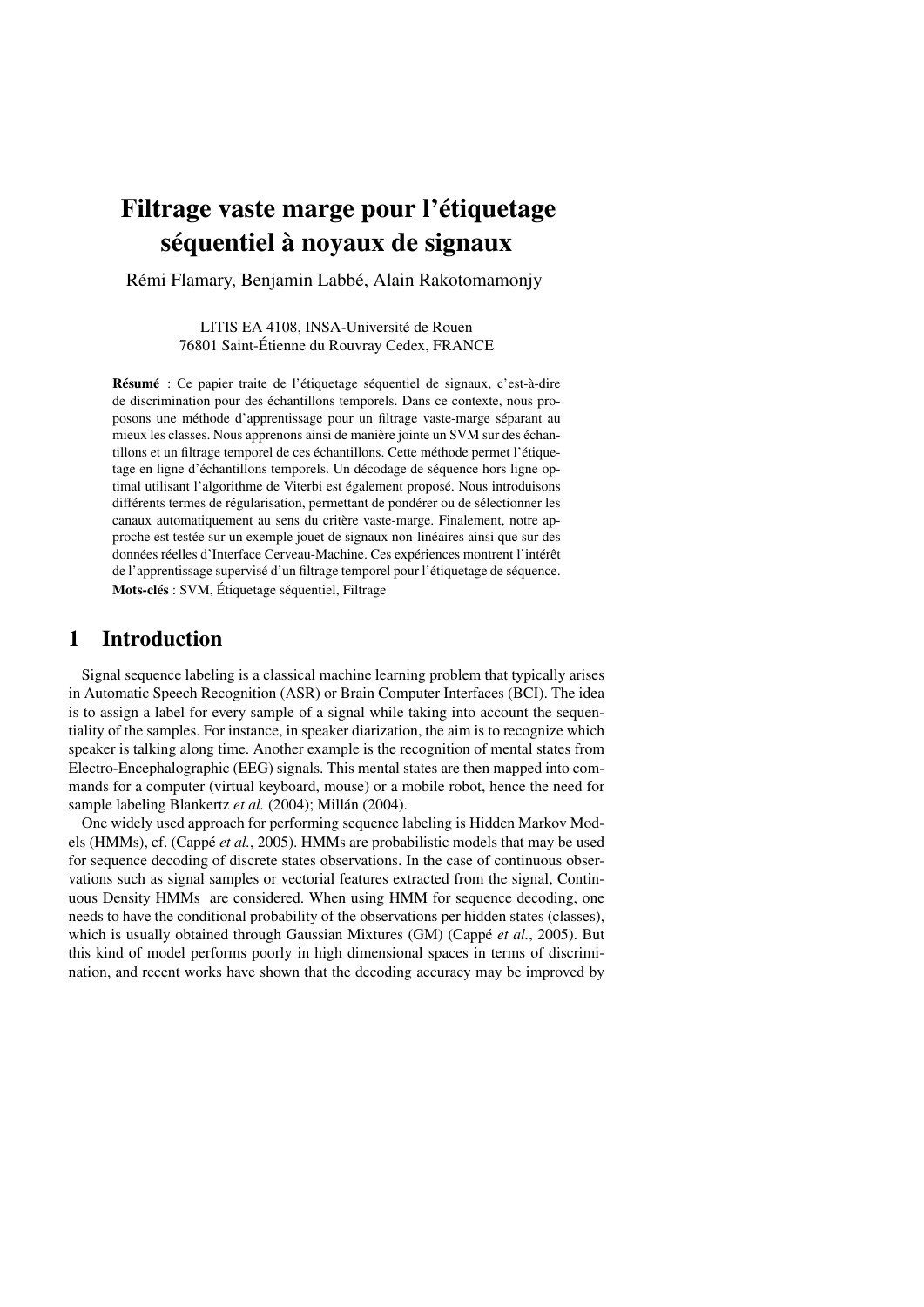# Filtrage vaste marge pour l'étiquetage séquentiel à noyaux de signaux

Rémi Flamary, Benjamin Labbé, Alain Rakotomamonjy

LITIS EA 4108, INSA-Université de Rouen 76801 Saint-Étienne du Rouvray Cedex, FRANCE

Résumé : Ce papier traite de l'étiquetage séquentiel de signaux, c'est-à-dire de discrimination pour des échantillons temporels. Dans ce contexte, nous proposons une méthode d'apprentissage pour un filtrage vaste-marge séparant au mieux les classes. Nous apprenons ainsi de manière jointe un SVM sur des échantillons et un filtrage temporel de ces échantillons. Cette méthode permet l'étiquetage en ligne d'échantillons temporels. Un décodage de séquence hors ligne optimal utilisant l'algorithme de Viterbi est également proposé. Nous introduisons différents termes de régularisation, permettant de pondérer ou de sélectionner les canaux automatiquement au sens du critère vaste-marge. Finalement, notre approche est testée sur un exemple jouet de signaux non-linéaires ainsi que sur des données réelles d'Interface Cerveau-Machine. Ces expériences montrent l'intérêt de l'apprentissage supervisé d'un filtrage temporel pour l'étiquetage de séquence. Mots-clés : SVM, Étiquetage séquentiel, Filtrage

# 1 Introduction

Signal sequence labeling is a classical machine learning problem that typically arises in Automatic Speech Recognition (ASR) or Brain Computer Interfaces (BCI). The idea is to assign a label for every sample of a signal while taking into account the sequentiality of the samples. For instance, in speaker diarization, the aim is to recognize which speaker is talking along time. Another example is the recognition of mental states from Electro-Encephalographic (EEG) signals. This mental states are then mapped into commands for a computer (virtual keyboard, mouse) or a mobile robot, hence the need for sample labeling Blankertz *et al.* (2004); Millán (2004).

One widely used approach for performing sequence labeling is Hidden Markov Models (HMMs), cf. (Cappé *et al.*, 2005). HMMs are probabilistic models that may be used for sequence decoding of discrete states observations. In the case of continuous observations such as signal samples or vectorial features extracted from the signal, Continuous Density HMMs are considered. When using HMM for sequence decoding, one needs to have the conditional probability of the observations per hidden states (classes), which is usually obtained through Gaussian Mixtures (GM) (Cappé *et al.*, 2005). But this kind of model performs poorly in high dimensional spaces in terms of discrimination, and recent works have shown that the decoding accuracy may be improved by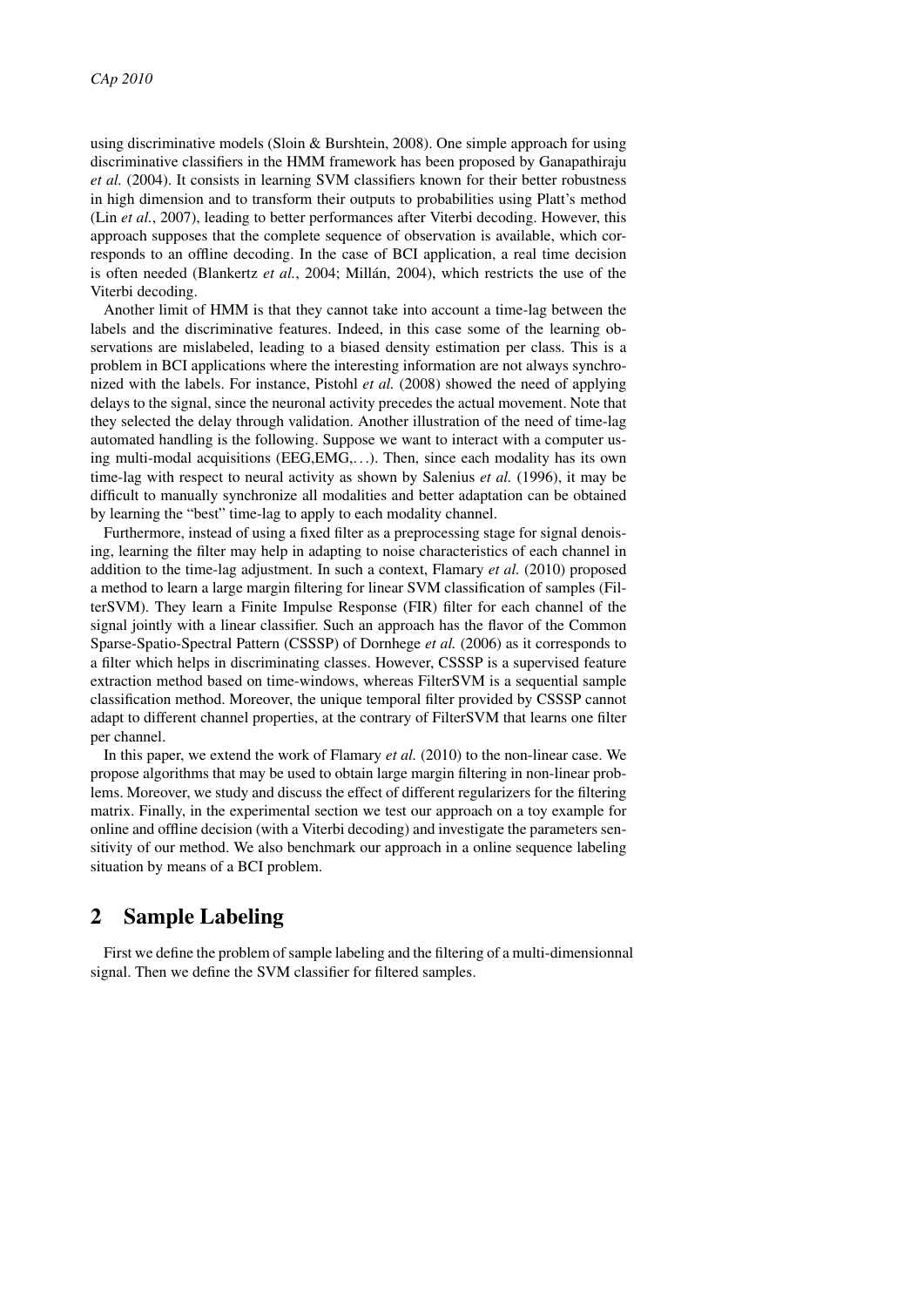using discriminative models (Sloin & Burshtein, 2008). One simple approach for using discriminative classifiers in the HMM framework has been proposed by Ganapathiraju *et al.* (2004). It consists in learning SVM classifiers known for their better robustness in high dimension and to transform their outputs to probabilities using Platt's method (Lin *et al.*, 2007), leading to better performances after Viterbi decoding. However, this approach supposes that the complete sequence of observation is available, which corresponds to an offline decoding. In the case of BCI application, a real time decision is often needed (Blankertz *et al.*, 2004; Millán, 2004), which restricts the use of the Viterbi decoding.

Another limit of HMM is that they cannot take into account a time-lag between the labels and the discriminative features. Indeed, in this case some of the learning observations are mislabeled, leading to a biased density estimation per class. This is a problem in BCI applications where the interesting information are not always synchronized with the labels. For instance, Pistohl *et al.* (2008) showed the need of applying delays to the signal, since the neuronal activity precedes the actual movement. Note that they selected the delay through validation. Another illustration of the need of time-lag automated handling is the following. Suppose we want to interact with a computer using multi-modal acquisitions (EEG,EMG,. . .). Then, since each modality has its own time-lag with respect to neural activity as shown by Salenius *et al.* (1996), it may be difficult to manually synchronize all modalities and better adaptation can be obtained by learning the "best" time-lag to apply to each modality channel.

Furthermore, instead of using a fixed filter as a preprocessing stage for signal denoising, learning the filter may help in adapting to noise characteristics of each channel in addition to the time-lag adjustment. In such a context, Flamary *et al.* (2010) proposed a method to learn a large margin filtering for linear SVM classification of samples (FilterSVM). They learn a Finite Impulse Response (FIR) filter for each channel of the signal jointly with a linear classifier. Such an approach has the flavor of the Common Sparse-Spatio-Spectral Pattern (CSSSP) of Dornhege *et al.* (2006) as it corresponds to a filter which helps in discriminating classes. However, CSSSP is a supervised feature extraction method based on time-windows, whereas FilterSVM is a sequential sample classification method. Moreover, the unique temporal filter provided by CSSSP cannot adapt to different channel properties, at the contrary of FilterSVM that learns one filter per channel.

In this paper, we extend the work of Flamary *et al.* (2010) to the non-linear case. We propose algorithms that may be used to obtain large margin filtering in non-linear problems. Moreover, we study and discuss the effect of different regularizers for the filtering matrix. Finally, in the experimental section we test our approach on a toy example for online and offline decision (with a Viterbi decoding) and investigate the parameters sensitivity of our method. We also benchmark our approach in a online sequence labeling situation by means of a BCI problem.

# 2 Sample Labeling

First we define the problem of sample labeling and the filtering of a multi-dimensionnal signal. Then we define the SVM classifier for filtered samples.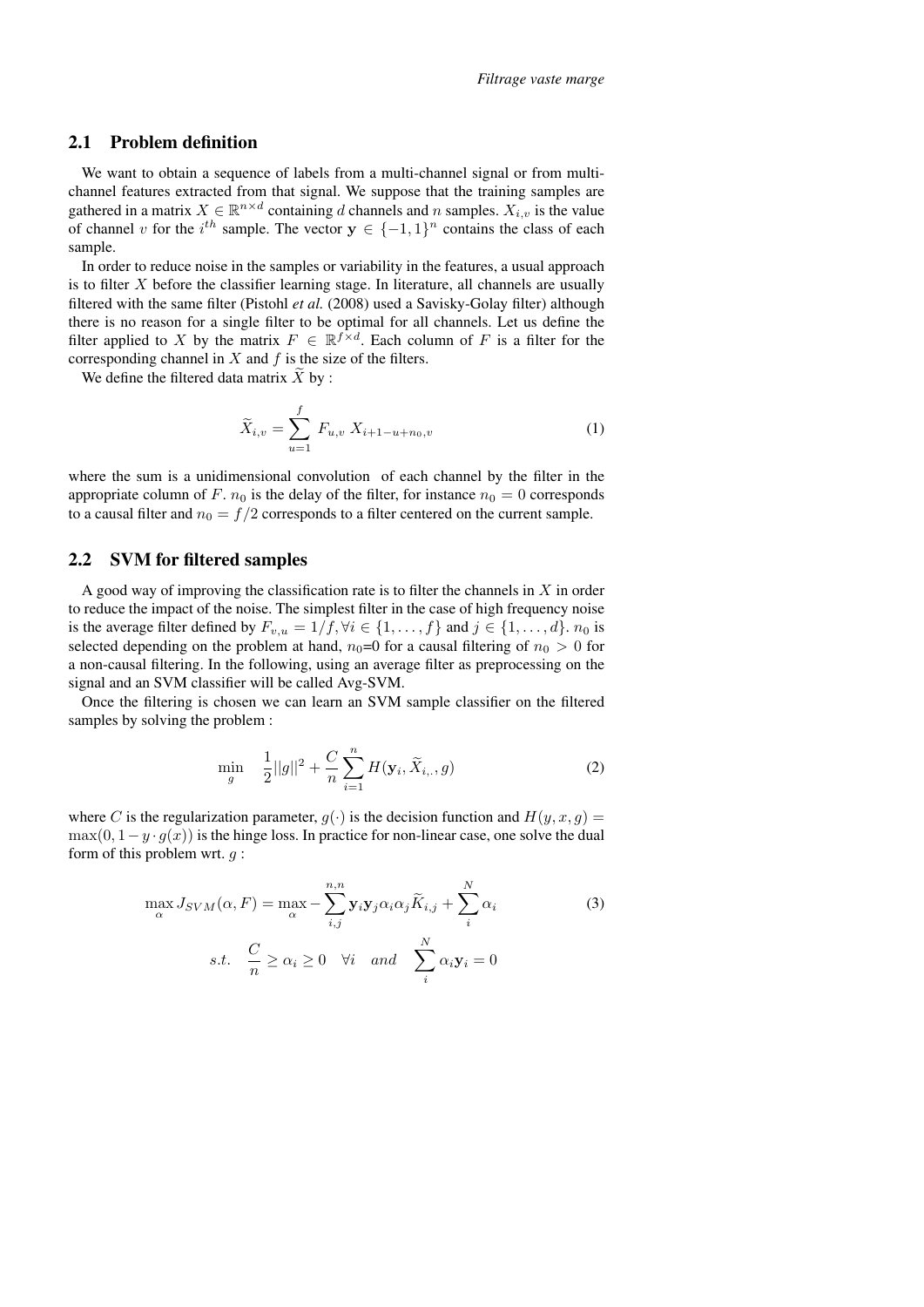#### 2.1 Problem definition

We want to obtain a sequence of labels from a multi-channel signal or from multichannel features extracted from that signal. We suppose that the training samples are gathered in a matrix  $X \in \mathbb{R}^{n \times d}$  containing d channels and n samples.  $X_{i,v}$  is the value of channel v for the  $i^{th}$  sample. The vector  $y \in \{-1,1\}^n$  contains the class of each sample.

In order to reduce noise in the samples or variability in the features, a usual approach is to filter  $X$  before the classifier learning stage. In literature, all channels are usually filtered with the same filter (Pistohl *et al.* (2008) used a Savisky-Golay filter) although there is no reason for a single filter to be optimal for all channels. Let us define the filter applied to X by the matrix  $F \in \mathbb{R}^{f \times d}$ . Each column of F is a filter for the corresponding channel in  $X$  and  $f$  is the size of the filters.

We define the filtered data matrix  $X$  by :

$$
\widetilde{X}_{i,v} = \sum_{u=1}^{f} F_{u,v} X_{i+1-u+n_0,v}
$$
\n(1)

where the sum is a unidimensional convolution of each channel by the filter in the appropriate column of F.  $n_0$  is the delay of the filter, for instance  $n_0 = 0$  corresponds to a causal filter and  $n_0 = f/2$  corresponds to a filter centered on the current sample.

#### 2.2 SVM for filtered samples

A good way of improving the classification rate is to filter the channels in  $X$  in order to reduce the impact of the noise. The simplest filter in the case of high frequency noise is the average filter defined by  $F_{v,u} = 1/f, \forall i \in \{1, \ldots, f\}$  and  $j \in \{1, \ldots, d\}$ .  $n_0$  is selected depending on the problem at hand,  $n_0=0$  for a causal filtering of  $n_0 > 0$  for a non-causal filtering. In the following, using an average filter as preprocessing on the signal and an SVM classifier will be called Avg-SVM.

Once the filtering is chosen we can learn an SVM sample classifier on the filtered samples by solving the problem :

$$
\min_{g} \quad \frac{1}{2}||g||^{2} + \frac{C}{n}\sum_{i=1}^{n}H(\mathbf{y}_{i},\widetilde{X}_{i,.,}g) \tag{2}
$$

where C is the regularization parameter,  $g(\cdot)$  is the decision function and  $H(y, x, g) =$  $\max(0, 1-y \cdot q(x))$  is the hinge loss. In practice for non-linear case, one solve the dual form of this problem wrt.  $g$ :

$$
\max_{\alpha} J_{SVM}(\alpha, F) = \max_{\alpha} - \sum_{i,j}^{n,n} \mathbf{y}_i \mathbf{y}_j \alpha_i \alpha_j \widetilde{K}_{i,j} + \sum_{i}^{N} \alpha_i
$$
\n
$$
s.t. \quad \frac{C}{n} \ge \alpha_i \ge 0 \quad \forall i \quad and \quad \sum_{i}^{N} \alpha_i \mathbf{y}_i = 0
$$
\n(3)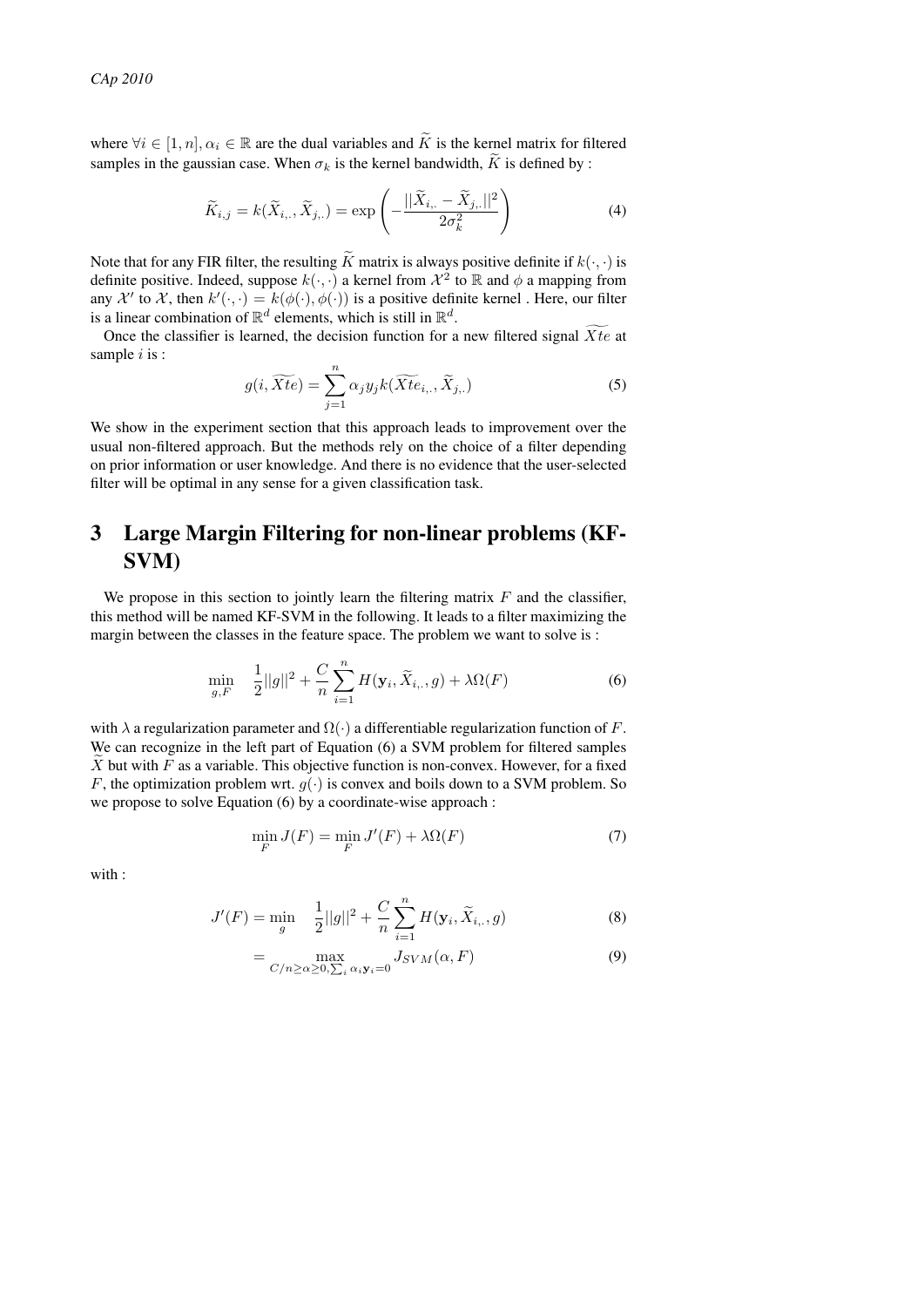where  $\forall i \in [1, n], \alpha_i \in \mathbb{R}$  are the dual variables and  $\tilde{K}$  is the kernel matrix for filtered samples in the gaussian case. When  $\sigma_k$  is the kernel bandwidth,  $\widetilde{K}$  is defined by :

$$
\widetilde{K}_{i,j} = k(\widetilde{X}_{i,\cdot}, \widetilde{X}_{j,\cdot}) = \exp\left(-\frac{||\widetilde{X}_{i,\cdot} - \widetilde{X}_{j,\cdot}||^2}{2\sigma_k^2}\right)
$$
(4)

Note that for any FIR filter, the resulting  $\widetilde{K}$  matrix is always positive definite if  $k(\cdot, \cdot)$  is definite positive. Indeed, suppose  $k(\cdot, \cdot)$  a kernel from  $\mathcal{X}^2$  to  $\mathbb R$  and  $\phi$  a mapping from any  $\mathcal{X}'$  to  $\mathcal{X}$ , then  $k'(\cdot, \cdot) = k(\phi(\cdot), \phi(\cdot))$  is a positive definite kernel. Here, our filter is a linear combination of  $\mathbb{R}^d$  elements, which is still in  $\mathbb{R}^d$ .

Once the classifier is learned, the decision function for a new filtered signal  $\overline{X}t$ e at sample  $i$  is :

$$
g(i,\widetilde{Xte}) = \sum_{j=1}^{n} \alpha_j y_j k(\widetilde{Xte}_{i,\cdot}, \widetilde{X}_{j,\cdot})
$$
\n(5)

We show in the experiment section that this approach leads to improvement over the usual non-filtered approach. But the methods rely on the choice of a filter depending on prior information or user knowledge. And there is no evidence that the user-selected filter will be optimal in any sense for a given classification task.

# 3 Large Margin Filtering for non-linear problems (KF-SVM)

We propose in this section to jointly learn the filtering matrix  $F$  and the classifier, this method will be named KF-SVM in the following. It leads to a filter maximizing the margin between the classes in the feature space. The problem we want to solve is :

$$
\min_{g,F} \quad \frac{1}{2}||g||^2 + \frac{C}{n}\sum_{i=1}^n H(\mathbf{y}_i, \widetilde{X}_{i, \cdot}, g) + \lambda \Omega(F) \tag{6}
$$

with  $\lambda$  a regularization parameter and  $\Omega(\cdot)$  a differentiable regularization function of F. We can recognize in the left part of Equation (6) a SVM problem for filtered samples  $X$  but with  $F$  as a variable. This objective function is non-convex. However, for a fixed F, the optimization problem wrt.  $g(\cdot)$  is convex and boils down to a SVM problem. So we propose to solve Equation (6) by a coordinate-wise approach :

$$
\min_{F} J(F) = \min_{F} J'(F) + \lambda \Omega(F) \tag{7}
$$

with :

$$
J'(F) = \min_{g} \quad \frac{1}{2}||g||^2 + \frac{C}{n}\sum_{i=1}^{n}H(\mathbf{y}_i, \widetilde{X}_{i, \cdot}, g)
$$
(8)

$$
= \max_{C/n \ge \alpha \ge 0, \sum_{i} \alpha_{i} \mathbf{y}_{i}=0} J_{SVM}(\alpha, F)
$$
\n(9)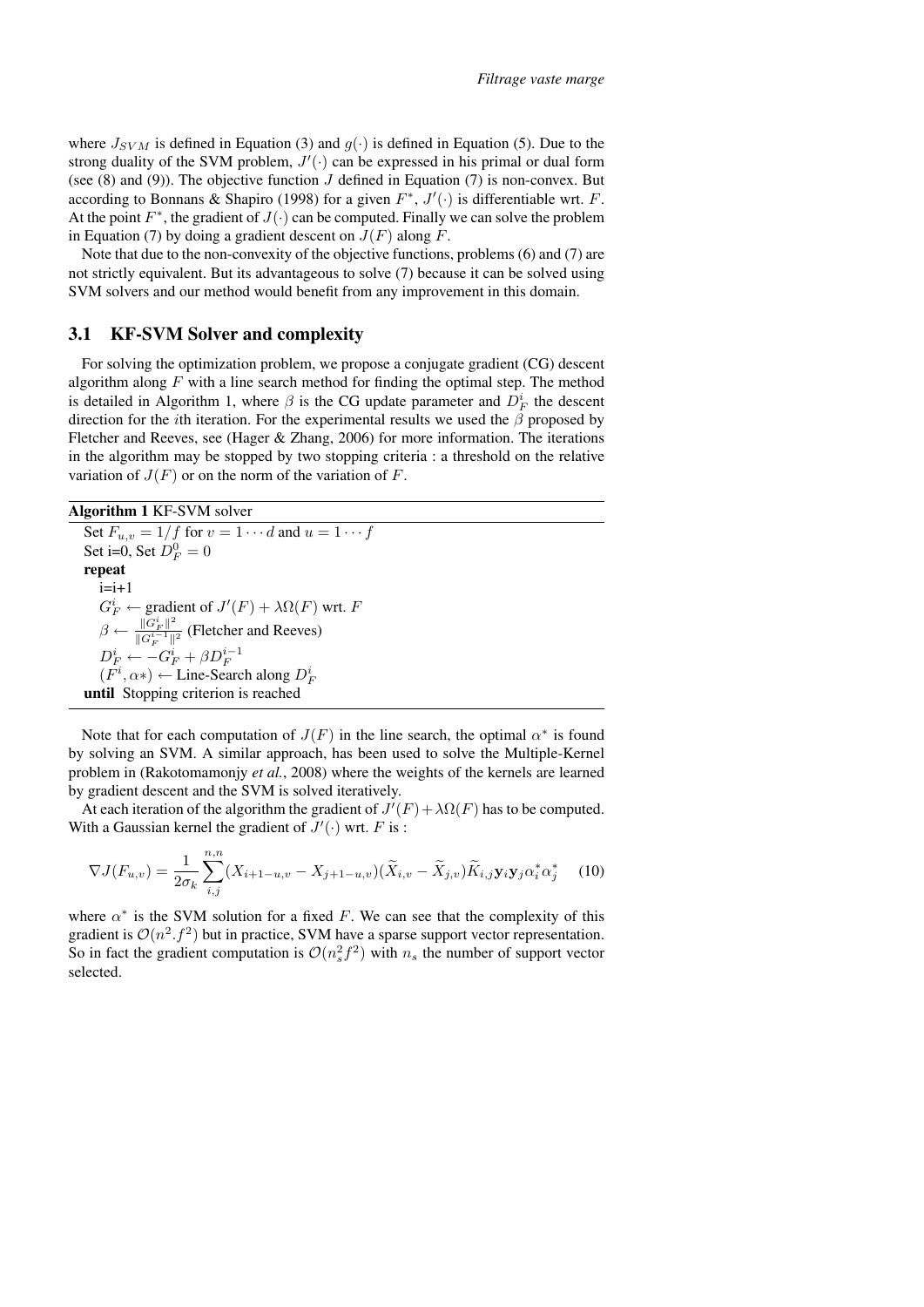where  $J_{SVM}$  is defined in Equation (3) and  $g(\cdot)$  is defined in Equation (5). Due to the strong duality of the SVM problem,  $J'(\cdot)$  can be expressed in his primal or dual form (see  $(8)$  and  $(9)$ ). The objective function  $J$  defined in Equation  $(7)$  is non-convex. But according to Bonnans & Shapiro (1998) for a given  $F^*$ ,  $J'(\cdot)$  is differentiable wrt. F. At the point  $F^*$ , the gradient of  $J(\cdot)$  can be computed. Finally we can solve the problem in Equation (7) by doing a gradient descent on  $J(F)$  along F.

Note that due to the non-convexity of the objective functions, problems (6) and (7) are not strictly equivalent. But its advantageous to solve (7) because it can be solved using SVM solvers and our method would benefit from any improvement in this domain.

#### 3.1 KF-SVM Solver and complexity

For solving the optimization problem, we propose a conjugate gradient (CG) descent algorithm along  $F$  with a line search method for finding the optimal step. The method is detailed in Algorithm 1, where  $\beta$  is the CG update parameter and  $D_F^i$  the descent direction for the *i*th iteration. For the experimental results we used the  $\beta$  proposed by Fletcher and Reeves, see (Hager & Zhang, 2006) for more information. The iterations in the algorithm may be stopped by two stopping criteria : a threshold on the relative variation of  $J(F)$  or on the norm of the variation of F.

Algorithm 1 KF-SVM solver

Set  $F_{u,v} = 1/f$  for  $v = 1 \cdots d$  and  $u = 1 \cdots f$ Set i=0, Set  $D_F^0 = 0$ repeat  $i=i+1$  $G_F^i \leftarrow \text{gradient of } J'(F) + \lambda \Omega(F) \text{ wrt. } F$  $\beta \leftarrow \frac{\|G_F^i\|^2}{\|G^{i-1}\|}$  $\frac{\|G_F\|}{\|G_F^{i-1}\|^2}$  (Fletcher and Reeves)  $D_F^i \leftarrow -G_F^i + \beta D_F^{i-1}$  $(F^i, \alpha*) \leftarrow$  Line-Search along  $D_F^i$ until Stopping criterion is reached

Note that for each computation of  $J(F)$  in the line search, the optimal  $\alpha^*$  is found by solving an SVM. A similar approach, has been used to solve the Multiple-Kernel problem in (Rakotomamonjy *et al.*, 2008) where the weights of the kernels are learned by gradient descent and the SVM is solved iteratively.

At each iteration of the algorithm the gradient of  $J'(F) + \lambda \Omega(F)$  has to be computed. With a Gaussian kernel the gradient of  $J'(\cdot)$  wrt. F is:

$$
\nabla J(F_{u,v}) = \frac{1}{2\sigma_k} \sum_{i,j}^{n,n} (X_{i+1-u,v} - X_{j+1-u,v}) (\widetilde{X}_{i,v} - \widetilde{X}_{j,v}) \widetilde{K}_{i,j} \mathbf{y}_i \mathbf{y}_j \alpha_i^* \alpha_j^* \tag{10}
$$

where  $\alpha^*$  is the SVM solution for a fixed F. We can see that the complexity of this gradient is  $\mathcal{O}(n^2 \cdot f^2)$  but in practice, SVM have a sparse support vector representation. So in fact the gradient computation is  $\mathcal{O}(n_s^2 f^2)$  with  $n_s$  the number of support vector selected.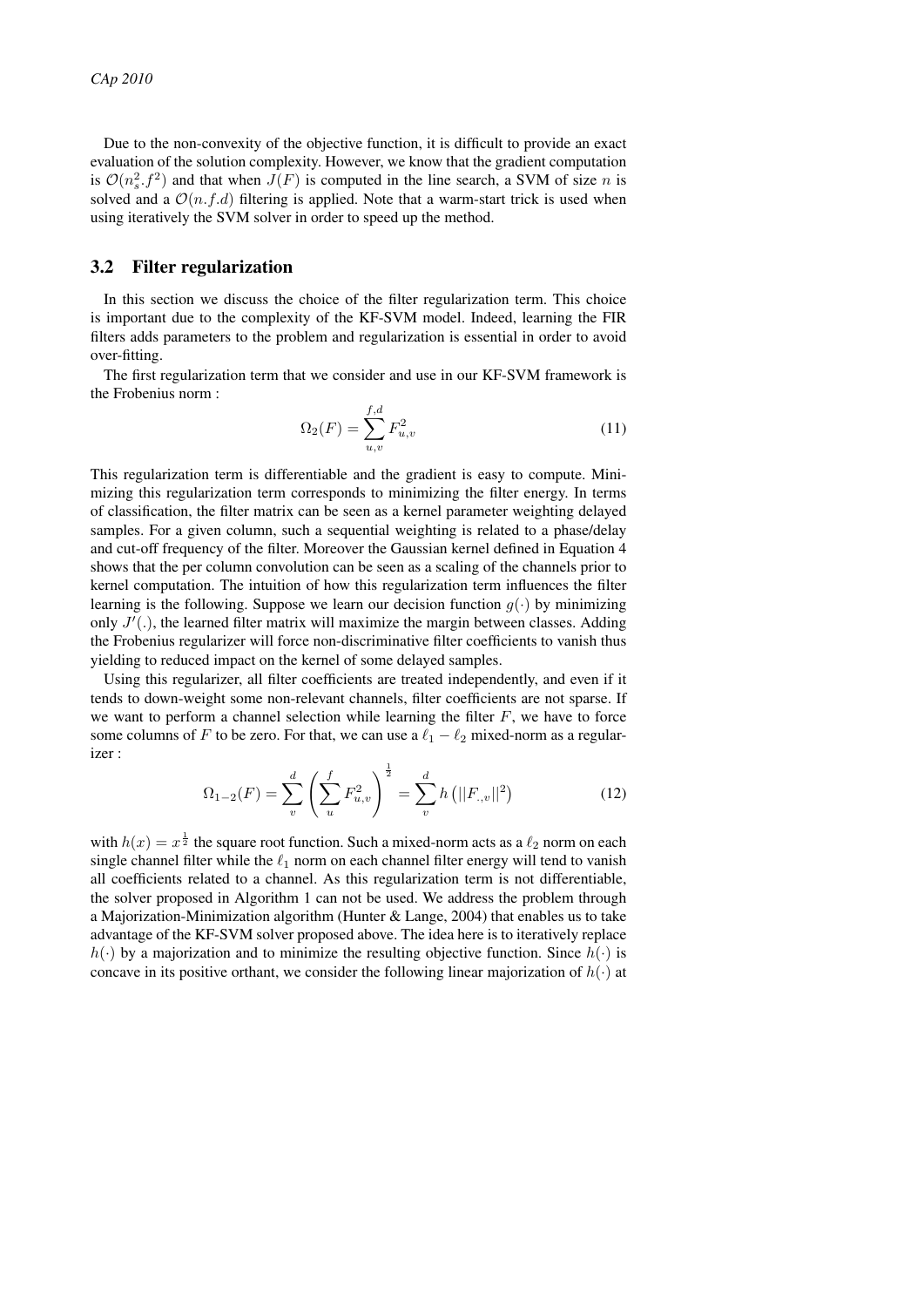Due to the non-convexity of the objective function, it is difficult to provide an exact evaluation of the solution complexity. However, we know that the gradient computation is  $\mathcal{O}(n_s^2 \cdot f^2)$  and that when  $J(F)$  is computed in the line search, a SVM of size n is solved and a  $\mathcal{O}(n.f.d)$  filtering is applied. Note that a warm-start trick is used when using iteratively the SVM solver in order to speed up the method.

### 3.2 Filter regularization

In this section we discuss the choice of the filter regularization term. This choice is important due to the complexity of the KF-SVM model. Indeed, learning the FIR filters adds parameters to the problem and regularization is essential in order to avoid over-fitting.

The first regularization term that we consider and use in our KF-SVM framework is the Frobenius norm :

$$
\Omega_2(F) = \sum_{u,v}^{f,d} F_{u,v}^2 \tag{11}
$$

This regularization term is differentiable and the gradient is easy to compute. Minimizing this regularization term corresponds to minimizing the filter energy. In terms of classification, the filter matrix can be seen as a kernel parameter weighting delayed samples. For a given column, such a sequential weighting is related to a phase/delay and cut-off frequency of the filter. Moreover the Gaussian kernel defined in Equation 4 shows that the per column convolution can be seen as a scaling of the channels prior to kernel computation. The intuition of how this regularization term influences the filter learning is the following. Suppose we learn our decision function  $g(\cdot)$  by minimizing only  $J'(.)$ , the learned filter matrix will maximize the margin between classes. Adding the Frobenius regularizer will force non-discriminative filter coefficients to vanish thus yielding to reduced impact on the kernel of some delayed samples.

Using this regularizer, all filter coefficients are treated independently, and even if it tends to down-weight some non-relevant channels, filter coefficients are not sparse. If we want to perform a channel selection while learning the filter  $F$ , we have to force some columns of F to be zero. For that, we can use a  $\ell_1 - \ell_2$  mixed-norm as a regularizer :

$$
\Omega_{1-2}(F) = \sum_{v}^{d} \left( \sum_{u}^{f} F_{u,v}^{2} \right)^{\frac{1}{2}} = \sum_{v}^{d} h \left( ||F_{v,v}||^{2} \right)
$$
\n(12)

with  $h(x) = x^{\frac{1}{2}}$  the square root function. Such a mixed-norm acts as a  $\ell_2$  norm on each single channel filter while the  $\ell_1$  norm on each channel filter energy will tend to vanish all coefficients related to a channel. As this regularization term is not differentiable, the solver proposed in Algorithm 1 can not be used. We address the problem through a Majorization-Minimization algorithm (Hunter & Lange, 2004) that enables us to take advantage of the KF-SVM solver proposed above. The idea here is to iteratively replace  $h(\cdot)$  by a majorization and to minimize the resulting objective function. Since  $h(\cdot)$  is concave in its positive orthant, we consider the following linear majorization of  $h(\cdot)$  at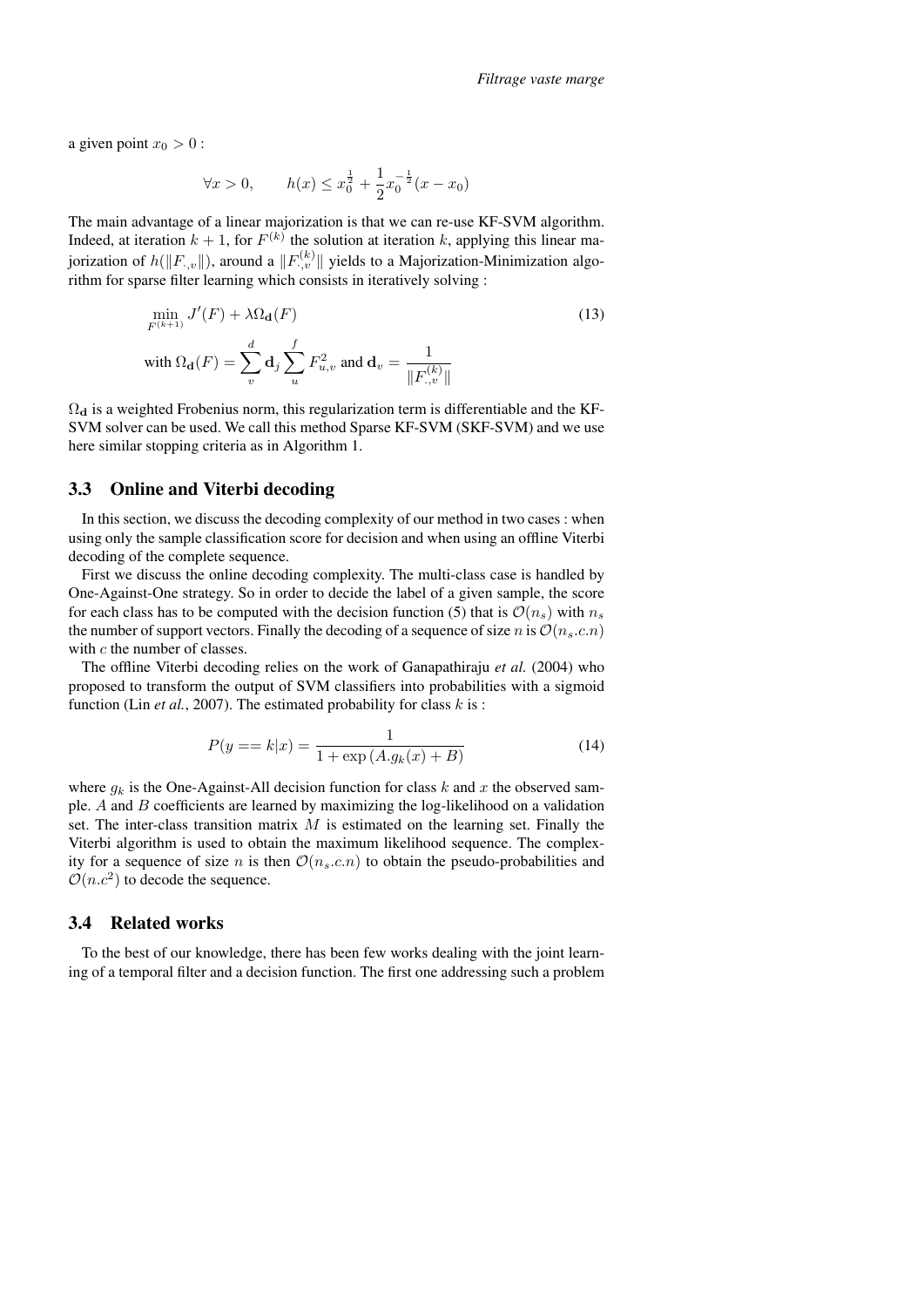a given point  $x_0 > 0$ :

$$
\forall x > 0, \qquad h(x) \le x_0^{\frac{1}{2}} + \frac{1}{2} x_0^{-\frac{1}{2}} (x - x_0)
$$

The main advantage of a linear majorization is that we can re-use KF-SVM algorithm. Indeed, at iteration  $k + 1$ , for  $F^{(k)}$  the solution at iteration k, applying this linear majorization of  $h(\|F_{\cdot,v}\|)$ , around a  $\|F_{\cdot,v}^{(k)}\|$  yields to a Majorization-Minimization algorithm for sparse filter learning which consists in iteratively solving :

$$
\min_{F^{(k+1)}} J'(F) + \lambda \Omega_{\mathbf{d}}(F)
$$
\n
$$
\text{with } \Omega_{\mathbf{d}}(F) = \sum_{v}^{d} \mathbf{d}_{j} \sum_{u}^{f} F_{u,v}^{2} \text{ and } \mathbf{d}_{v} = \frac{1}{\|F_{.,v}^{(k)}\|}
$$
\n
$$
(13)
$$

 $\Omega_d$  is a weighted Frobenius norm, this regularization term is differentiable and the KF-SVM solver can be used. We call this method Sparse KF-SVM (SKF-SVM) and we use here similar stopping criteria as in Algorithm 1.

### 3.3 Online and Viterbi decoding

In this section, we discuss the decoding complexity of our method in two cases : when using only the sample classification score for decision and when using an offline Viterbi decoding of the complete sequence.

First we discuss the online decoding complexity. The multi-class case is handled by One-Against-One strategy. So in order to decide the label of a given sample, the score for each class has to be computed with the decision function (5) that is  $\mathcal{O}(n_s)$  with  $n_s$ the number of support vectors. Finally the decoding of a sequence of size n is  $\mathcal{O}(n_s.c.n)$ with c the number of classes.

The offline Viterbi decoding relies on the work of Ganapathiraju *et al.* (2004) who proposed to transform the output of SVM classifiers into probabilities with a sigmoid function (Lin *et al.*, 2007). The estimated probability for class  $k$  is :

$$
P(y == k|x) = \frac{1}{1 + \exp(A.g_k(x) + B)}
$$
(14)

where  $g_k$  is the One-Against-All decision function for class k and x the observed sample.  $A$  and  $B$  coefficients are learned by maximizing the log-likelihood on a validation set. The inter-class transition matrix  $M$  is estimated on the learning set. Finally the Viterbi algorithm is used to obtain the maximum likelihood sequence. The complexity for a sequence of size n is then  $\mathcal{O}(n_s.c.n)$  to obtain the pseudo-probabilities and  $\mathcal{O}(n.c^2)$  to decode the sequence.

### 3.4 Related works

To the best of our knowledge, there has been few works dealing with the joint learning of a temporal filter and a decision function. The first one addressing such a problem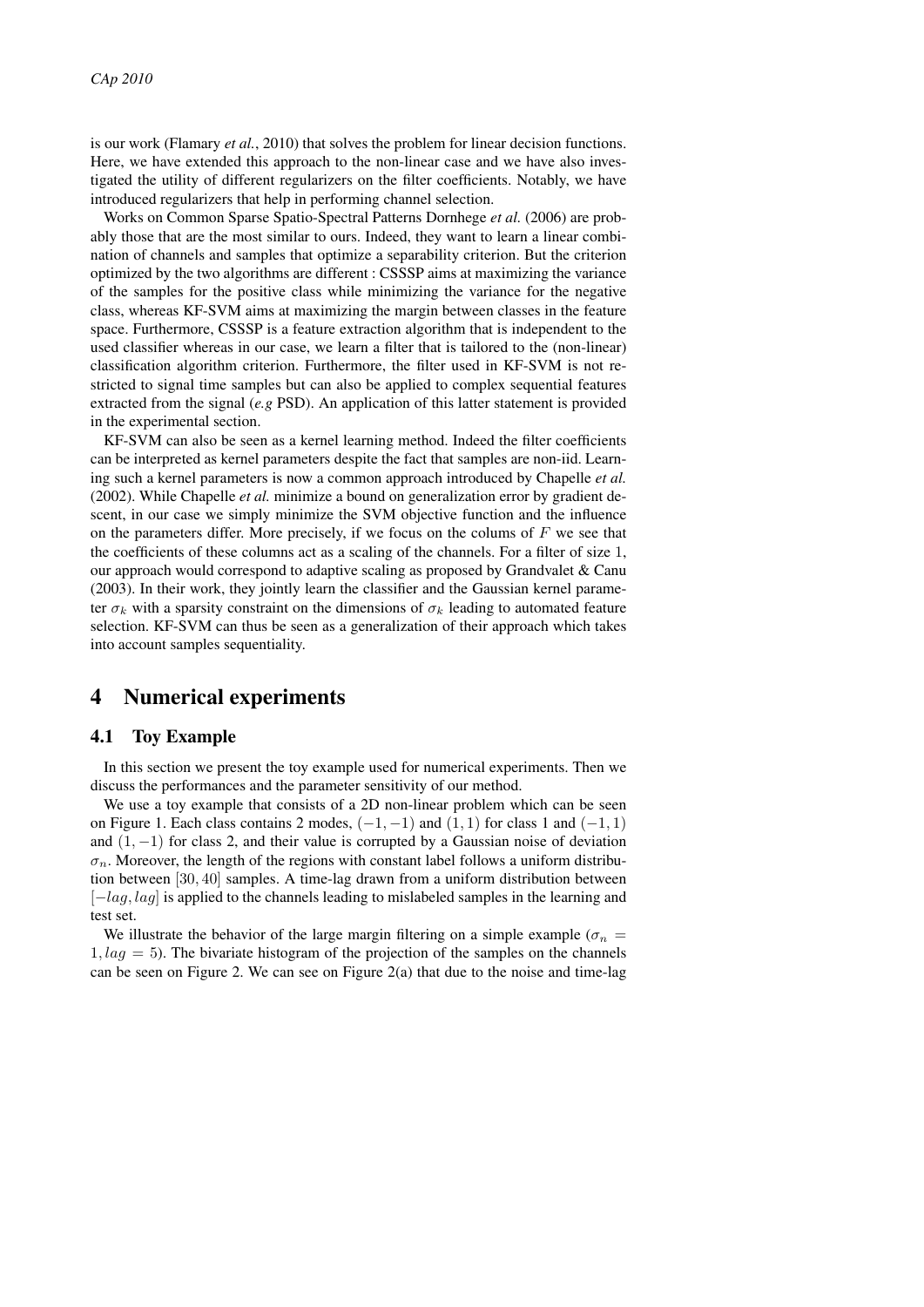is our work (Flamary *et al.*, 2010) that solves the problem for linear decision functions. Here, we have extended this approach to the non-linear case and we have also investigated the utility of different regularizers on the filter coefficients. Notably, we have introduced regularizers that help in performing channel selection.

Works on Common Sparse Spatio-Spectral Patterns Dornhege *et al.* (2006) are probably those that are the most similar to ours. Indeed, they want to learn a linear combination of channels and samples that optimize a separability criterion. But the criterion optimized by the two algorithms are different : CSSSP aims at maximizing the variance of the samples for the positive class while minimizing the variance for the negative class, whereas KF-SVM aims at maximizing the margin between classes in the feature space. Furthermore, CSSSP is a feature extraction algorithm that is independent to the used classifier whereas in our case, we learn a filter that is tailored to the (non-linear) classification algorithm criterion. Furthermore, the filter used in KF-SVM is not restricted to signal time samples but can also be applied to complex sequential features extracted from the signal (*e.g* PSD). An application of this latter statement is provided in the experimental section.

KF-SVM can also be seen as a kernel learning method. Indeed the filter coefficients can be interpreted as kernel parameters despite the fact that samples are non-iid. Learning such a kernel parameters is now a common approach introduced by Chapelle *et al.* (2002). While Chapelle *et al.* minimize a bound on generalization error by gradient descent, in our case we simply minimize the SVM objective function and the influence on the parameters differ. More precisely, if we focus on the colums of  $F$  we see that the coefficients of these columns act as a scaling of the channels. For a filter of size 1, our approach would correspond to adaptive scaling as proposed by Grandvalet & Canu (2003). In their work, they jointly learn the classifier and the Gaussian kernel parameter  $\sigma_k$  with a sparsity constraint on the dimensions of  $\sigma_k$  leading to automated feature selection. KF-SVM can thus be seen as a generalization of their approach which takes into account samples sequentiality.

# 4 Numerical experiments

#### 4.1 Toy Example

In this section we present the toy example used for numerical experiments. Then we discuss the performances and the parameter sensitivity of our method.

We use a toy example that consists of a 2D non-linear problem which can be seen on Figure 1. Each class contains 2 modes,  $(-1, -1)$  and  $(1, 1)$  for class 1 and  $(-1, 1)$ and  $(1, -1)$  for class 2, and their value is corrupted by a Gaussian noise of deviation  $\sigma_n$ . Moreover, the length of the regions with constant label follows a uniform distribution between [30, 40] samples. A time-lag drawn from a uniform distribution between  $[-lag, lag]$  is applied to the channels leading to mislabeled samples in the learning and test set.

We illustrate the behavior of the large margin filtering on a simple example ( $\sigma_n$  =  $1, lag = 5$ ). The bivariate histogram of the projection of the samples on the channels can be seen on Figure 2. We can see on Figure  $2(a)$  that due to the noise and time-lag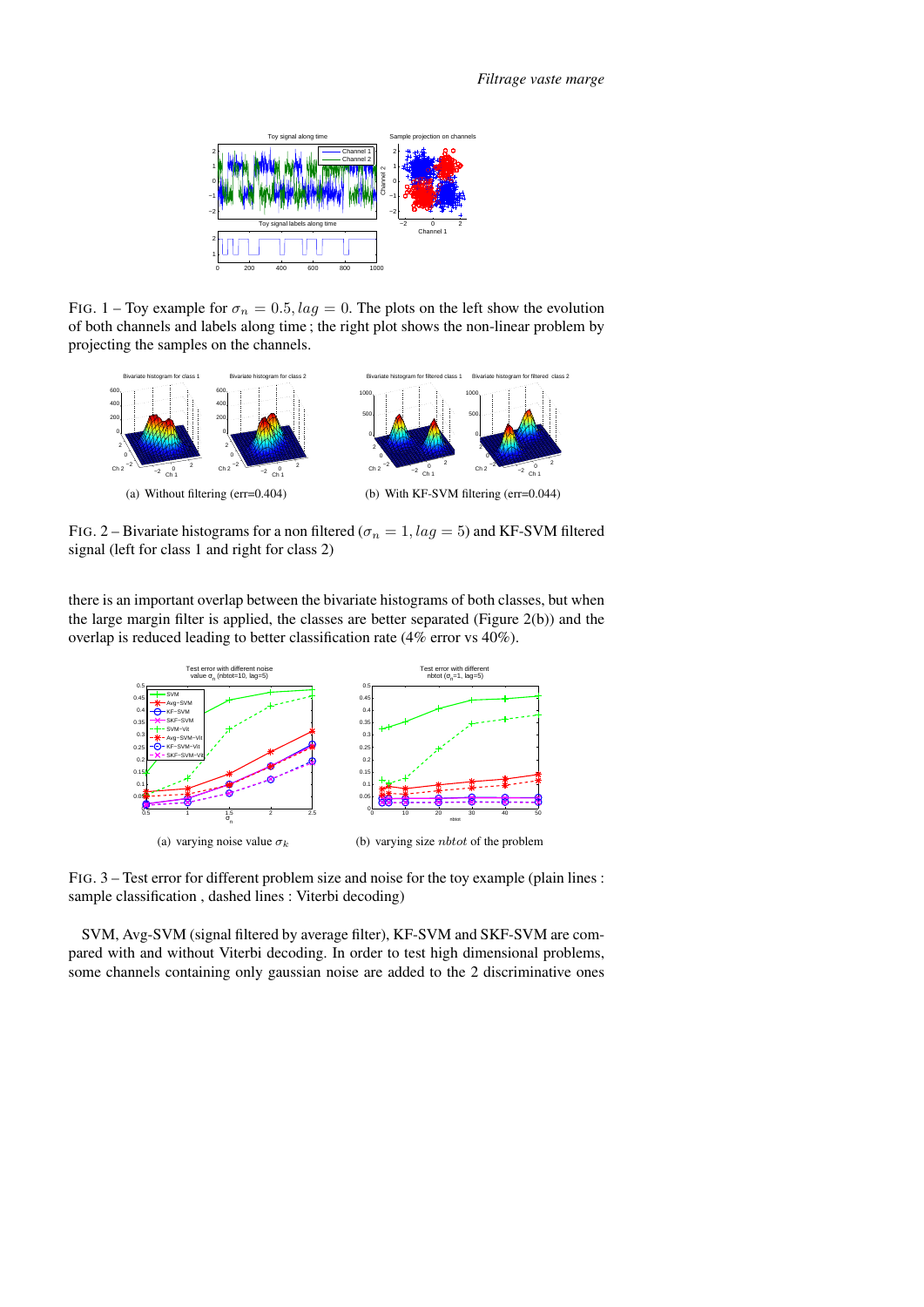

FIG. 1 – Toy example for  $\sigma_n = 0.5$ ,  $lag = 0$ . The plots on the left show the evolution of both channels and labels along time ; the right plot shows the non-linear problem by projecting the samples on the channels.



FIG. 2 – Bivariate histograms for a non filtered ( $\sigma_n = 1$ ,  $lag = 5$ ) and KF-SVM filtered signal (left for class 1 and right for class 2)

there is an important overlap between the bivariate histograms of both classes, but when the large margin filter is applied, the classes are better separated (Figure 2(b)) and the overlap is reduced leading to better classification rate (4% error vs 40%).



FIG. 3 – Test error for different problem size and noise for the toy example (plain lines : sample classification , dashed lines : Viterbi decoding)

SVM, Avg-SVM (signal filtered by average filter), KF-SVM and SKF-SVM are compared with and without Viterbi decoding. In order to test high dimensional problems, some channels containing only gaussian noise are added to the 2 discriminative ones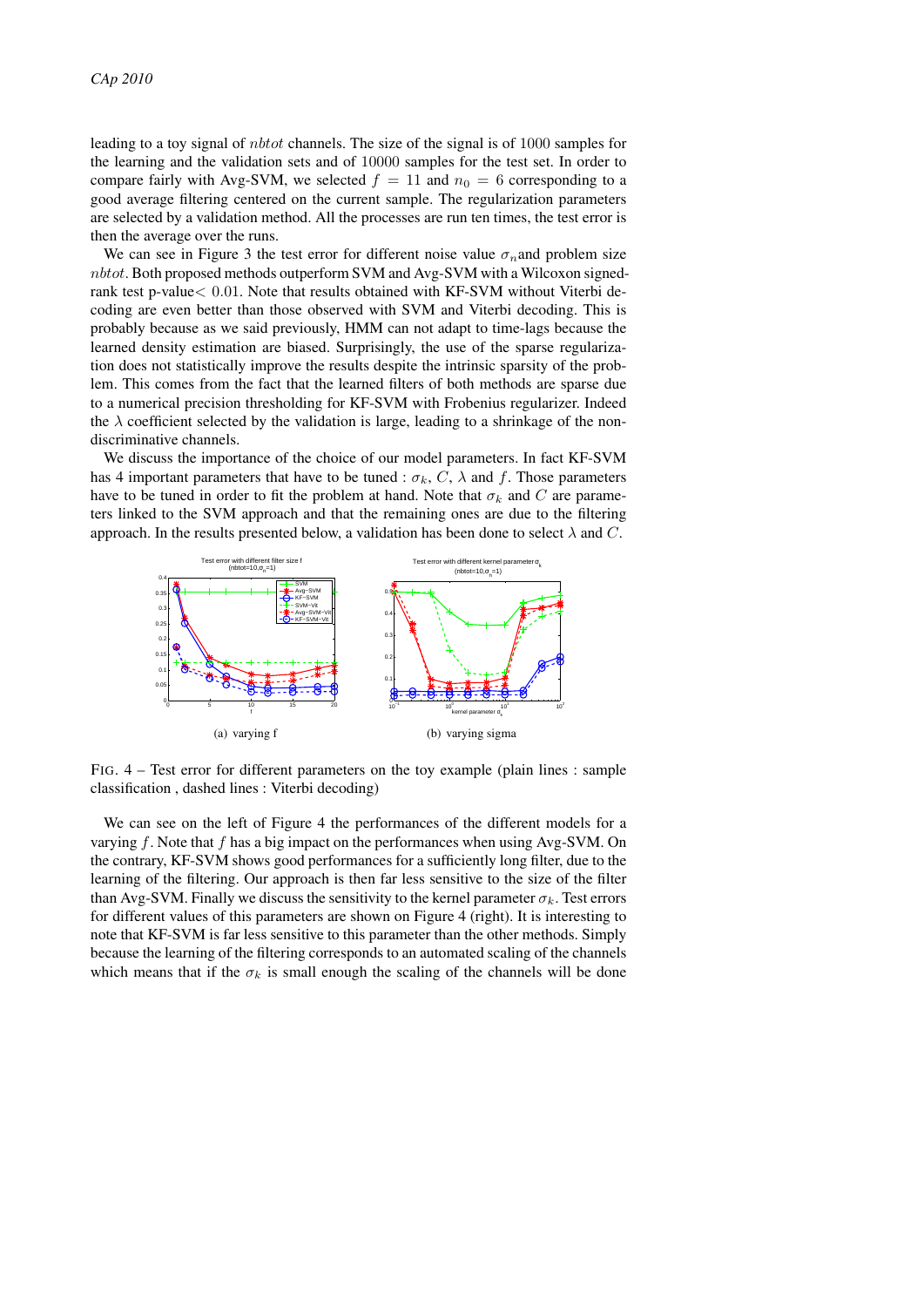leading to a toy signal of nbtot channels. The size of the signal is of 1000 samples for the learning and the validation sets and of 10000 samples for the test set. In order to compare fairly with Avg-SVM, we selected  $f = 11$  and  $n_0 = 6$  corresponding to a good average filtering centered on the current sample. The regularization parameters are selected by a validation method. All the processes are run ten times, the test error is then the average over the runs.

We can see in Figure 3 the test error for different noise value  $\sigma_n$  and problem size nbtot. Both proposed methods outperform SVM and Avg-SVM with a Wilcoxon signedrank test p-value< 0.01. Note that results obtained with KF-SVM without Viterbi decoding are even better than those observed with SVM and Viterbi decoding. This is probably because as we said previously, HMM can not adapt to time-lags because the learned density estimation are biased. Surprisingly, the use of the sparse regularization does not statistically improve the results despite the intrinsic sparsity of the problem. This comes from the fact that the learned filters of both methods are sparse due to a numerical precision thresholding for KF-SVM with Frobenius regularizer. Indeed the  $\lambda$  coefficient selected by the validation is large, leading to a shrinkage of the nondiscriminative channels.

We discuss the importance of the choice of our model parameters. In fact KF-SVM has 4 important parameters that have to be tuned :  $\sigma_k$ , C,  $\lambda$  and f. Those parameters have to be tuned in order to fit the problem at hand. Note that  $\sigma_k$  and C are parameters linked to the SVM approach and that the remaining ones are due to the filtering approach. In the results presented below, a validation has been done to select  $\lambda$  and C.



FIG. 4 – Test error for different parameters on the toy example (plain lines : sample classification , dashed lines : Viterbi decoding)

We can see on the left of Figure 4 the performances of the different models for a varying  $f$ . Note that  $f$  has a big impact on the performances when using Avg-SVM. On the contrary, KF-SVM shows good performances for a sufficiently long filter, due to the learning of the filtering. Our approach is then far less sensitive to the size of the filter than Avg-SVM. Finally we discuss the sensitivity to the kernel parameter  $\sigma_k$ . Test errors for different values of this parameters are shown on Figure 4 (right). It is interesting to note that KF-SVM is far less sensitive to this parameter than the other methods. Simply because the learning of the filtering corresponds to an automated scaling of the channels which means that if the  $\sigma_k$  is small enough the scaling of the channels will be done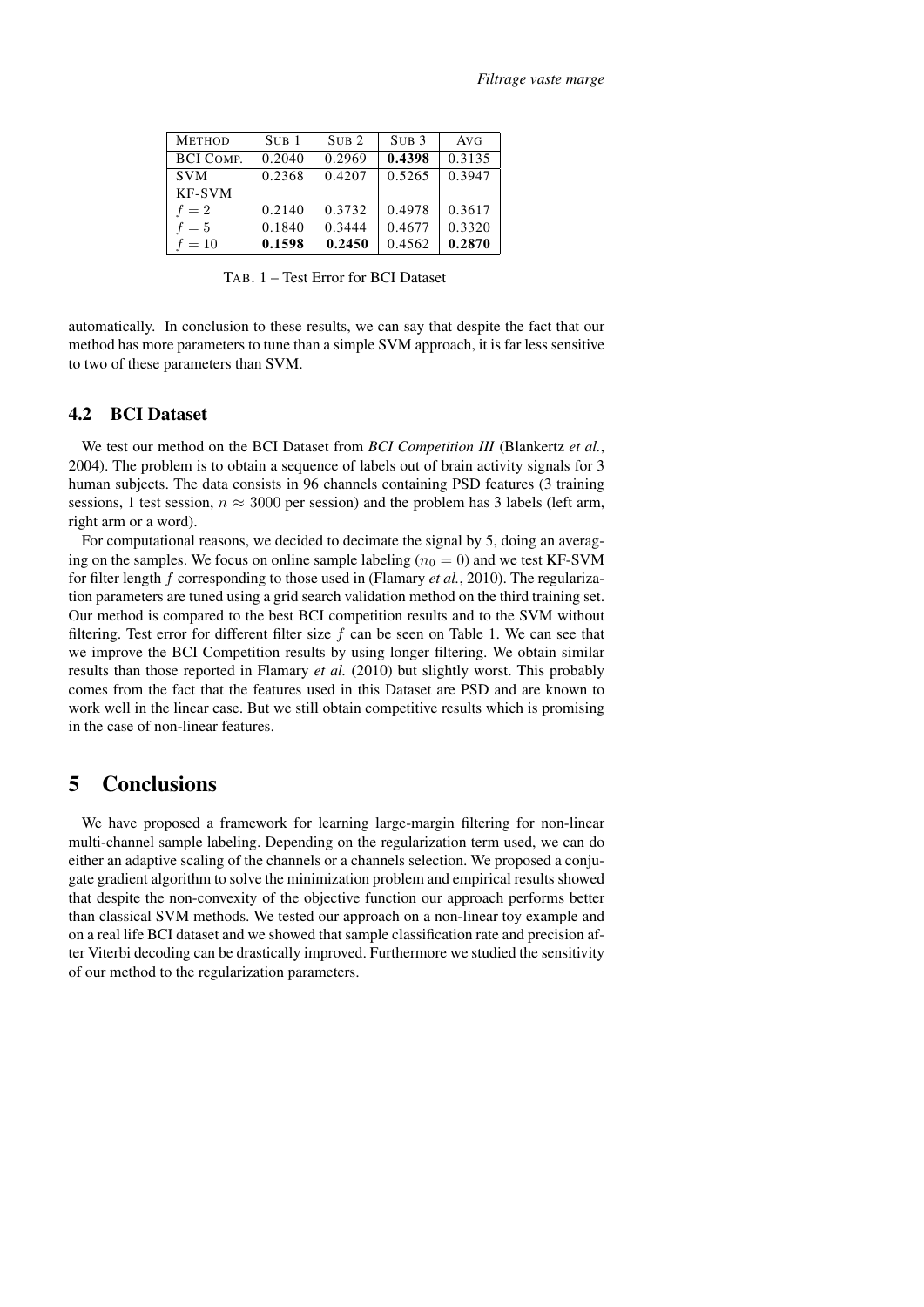| <b>METHOD</b>    | SUB <sub>1</sub> | SUB <sub>2</sub> | SUB <sub>3</sub> | AVG    |
|------------------|------------------|------------------|------------------|--------|
| <b>BCI COMP.</b> | 0.2040           | 0.2969           | 0.4398           | 0.3135 |
| <b>SVM</b>       | 0.2368           | 0.4207           | 0.5265           | 0.3947 |
| KF-SVM           |                  |                  |                  |        |
| $f=2$            | 0.2140           | 0.3732           | 0.4978           | 0.3617 |
| $f=5$            | 0.1840           | 0.3444           | 0.4677           | 0.3320 |
| $f=10$           | 0.1598           | 0.2450           | 0.4562           | 0.2870 |

TAB. 1 – Test Error for BCI Dataset

automatically. In conclusion to these results, we can say that despite the fact that our method has more parameters to tune than a simple SVM approach, it is far less sensitive to two of these parameters than SVM.

### 4.2 BCI Dataset

We test our method on the BCI Dataset from *BCI Competition III* (Blankertz *et al.*, 2004). The problem is to obtain a sequence of labels out of brain activity signals for 3 human subjects. The data consists in 96 channels containing PSD features (3 training sessions, 1 test session,  $n \approx 3000$  per session) and the problem has 3 labels (left arm, right arm or a word).

For computational reasons, we decided to decimate the signal by 5, doing an averaging on the samples. We focus on online sample labeling ( $n_0 = 0$ ) and we test KF-SVM for filter length f corresponding to those used in (Flamary *et al.*, 2010). The regularization parameters are tuned using a grid search validation method on the third training set. Our method is compared to the best BCI competition results and to the SVM without filtering. Test error for different filter size  $f$  can be seen on Table 1. We can see that we improve the BCI Competition results by using longer filtering. We obtain similar results than those reported in Flamary *et al.* (2010) but slightly worst. This probably comes from the fact that the features used in this Dataset are PSD and are known to work well in the linear case. But we still obtain competitive results which is promising in the case of non-linear features.

### 5 Conclusions

We have proposed a framework for learning large-margin filtering for non-linear multi-channel sample labeling. Depending on the regularization term used, we can do either an adaptive scaling of the channels or a channels selection. We proposed a conjugate gradient algorithm to solve the minimization problem and empirical results showed that despite the non-convexity of the objective function our approach performs better than classical SVM methods. We tested our approach on a non-linear toy example and on a real life BCI dataset and we showed that sample classification rate and precision after Viterbi decoding can be drastically improved. Furthermore we studied the sensitivity of our method to the regularization parameters.